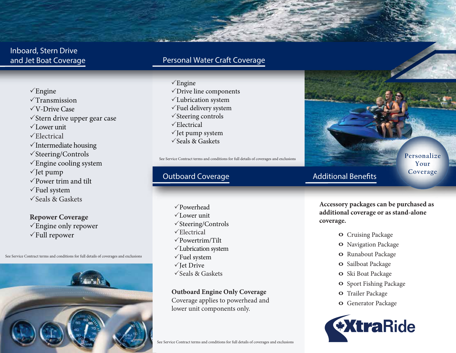## Inboard, Stern Drive and Jet Boat Coverage

## Personal Water Craft Coverage

 $\sqrt{\text{Engine}}$  $\sqrt{T}$ ransmission V-Drive Case  $\checkmark$ Stern drive upper gear case  $\sqrt{}$ Lower unit  $\checkmark$ Electrical  $\checkmark$  Intermediate housing  $\checkmark$ Steering/Controls  $\sqrt{\text{Engine cooling}}$  system  $\checkmark$  Jet pump  $\sqrt{P}$ ower trim and tilt  $\sqrt{\text{Fuel}}$  system Seals & Gaskets

**Repower Coverage**  $\sqrt{\text{Engine}}$  only repower

See Service Contract terms and conditions for full details of coverages and exclusions



- $\sqrt{\text{Engine}}$
- Drive line components
- Lubrication system
- $\sqrt{\frac{F}{T}}$ Fuel delivery system
- $\checkmark$  Steering controls
- $\sqrt{\text{Electrical}}$
- $\sqrt{}$  Jet pump system
- $\checkmark$  Seals & Gaskets

See Service Contract terms and conditions for full details of coverages and exclusions

## Outboard Coverage

The Cruising Package and Cruising Package and Cruising Package and Cruising Package and Cruising Package and Cruising Package and Cruising Package and Cruising Package and Cruising Package and Cruising Package and Cruisin Powerhead  $\sqrt{L}$ ower unit  $\checkmark$ Steering/Controls  $\sqrt{\text{Electrical}}$ Powertrim/Tilt Lubrication system  $\sqrt{\text{Fuel}}$  system  $\sqrt{}$  Iet Drive Seals & Gaskets

> **Outboard Engine Only Coverage** Coverage applies to powerhead and

lower unit components only.

See Service Contract terms and conditions for full details of coverages and exclusions

#### **Personalize Your Coverage**

## **Additional Benefits**

**Accessory packages can be purchased as additional coverage or as stand-alone coverage.**

- 
- **O** Navigation Package
- **O** Runabout Package
- **O** Sailboat Package
- **O** Ski Boat Package
- **O** Sport Fishing Package
- **O** Trailer Package
- **O** Generator Package